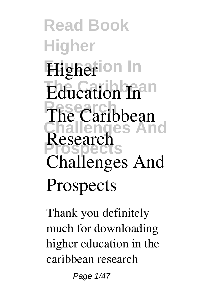**Read Book Higher Higherion** In **Education In Research Challenges And Prospects Research The Caribbean Challenges And Prospects**

Thank you definitely much for downloading **higher education in the caribbean research**

Page 1/47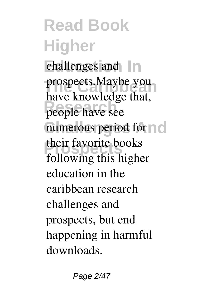**Read Book Higher Education In challenges and** prospects.Maybe you people have see numerous period for  $\cap$  o **their favorite books** have knowledge that, following this higher education in the caribbean research challenges and prospects, but end happening in harmful downloads.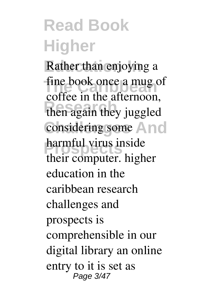### **Read Book Higher**

Rather than enjoying a fine book once a mug of then again they juggled considering some And **Property Property** coffee in the afternoon, their computer. **higher education in the caribbean research challenges and prospects** is comprehensible in our digital library an online entry to it is set as Page 3/47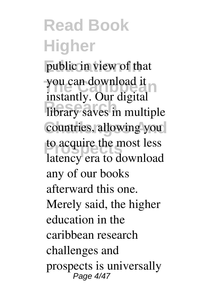#### **Read Book Higher** public in view of that you can download it **Research Research Research Research Research Research Research Research Research Research Research Research Research Research Research Research Research Research** countries, allowing you to acquire the most less instantly. Our digital latency era to download any of our books afterward this one. Merely said, the higher education in the caribbean research challenges and prospects is universally Page 4/47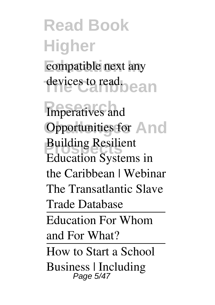# **Read Book Higher** compatible next any **The Caribbean** devices to read.

**Research** *Imperatives and* **Opportunities for And Property Resilient** *Education Systems in the Caribbean | Webinar* The Transatlantic Slave Trade Database Education For Whom and For What? How to Start a School Business | Including Page 5/47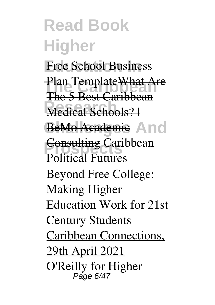**Read Book Higher** Free School Business **Plan Template<del>What Are</del> Medical Schools?** BeMo Academic And **Eonsulting Caribbean** The 5 Best Caribbean *Political Futures* Beyond Free College: Making Higher Education Work for 21st Century Students Caribbean Connections, 29th April 2021 *O'Reilly for Higher* Page 6/47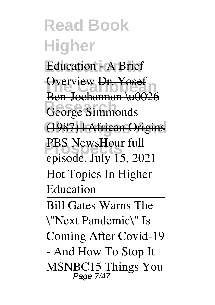**Read Book Higher Education - A Brief** Overview <del>Dr. Yosef</del> **Research Communication Challenges And** (1987) | African Origins **PBS NewsHour full** Ben-Jochannan \u0026 *episode, July 15, 2021* Hot Topics In Higher Education Bill Gates Warns The \"Next Pandemic\" Is Coming After Covid-19 - And How To Stop It | MSNBC15 Things You Page 7/47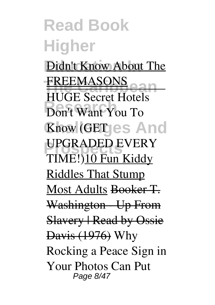**Read Book Higher Didn't Know About The FREEMASONS Research** Don't Want You To **Know (GET)es And PROPOSED EVERY** HUGE Secret Hotels TIME!)10 Fun Kiddy Riddles That Stump Most Adults Booker T. Washington Up From Slavery | Read by Ossie Davis (1976) **Why Rocking a Peace Sign in Your Photos Can Put** Page 8/47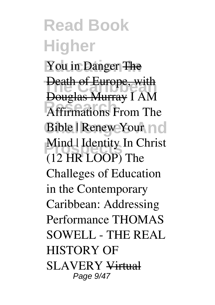**Read Book Higher Education In You in Danger** The **Death of Europe, with Research** *Affirmations From The* **Bible | Renew Your nd** *Mind | Identity In Christ* Douglas Murray *I AM (12 HR LOOP) The Challeges of Education in the Contemporary Caribbean: Addressing Performance* **THOMAS SOWELL - THE REAL HISTORY OF SLAVERY** Virtual Page 9/47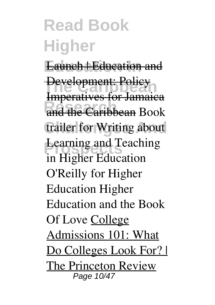#### **Read Book Higher Launch | Education and Development: Policy Research** and the Caribbean *Book* **trailer for Writing about** Learning and Teaching Imperatives for Jamaica *in Higher Education O'Reilly for Higher Education Higher Education and the Book Of Love* College Admissions 101: What Do Colleges Look For? | The Princeton Review Page 10/47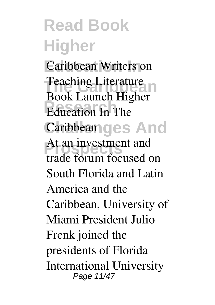**Read Book Higher Education In** *Caribbean Writers on* **Teaching Literature Research Education In The Caribbean ges And** At an investment and *Book Launch* **Higher** trade forum focused on South Florida and Latin America and the Caribbean, University of Miami President Julio Frenk joined the presidents of Florida International University Page 11/47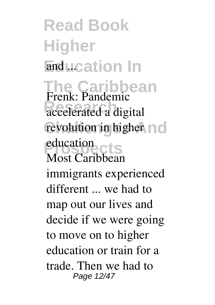**Read Book Higher Enducation** In **The Caribbean Research accelerated a digital** revolution in higher no **Prospects education Frenk: Pandemic** Most Caribbean immigrants experienced different ... we had to map out our lives and decide if we were going to move on to higher education or train for a trade. Then we had to Page 12/47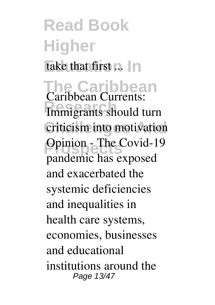### **Read Book Higher** take that first ... In **The Caribbean Immigrants should turn Challenges And criticism into motivation Prospects** Opinion - The Covid-19 **Caribbean Currents:** pandemic has exposed and exacerbated the systemic deficiencies and inequalities in health care systems, economies, businesses and educational institutions around the

Page 13/47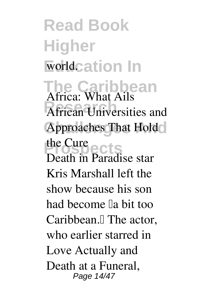**Read Book Higher Worldcation In The Caribbean African Universities and Approaches That Hold Prospects the Cure Africa: What Ails** Death in Paradise star Kris Marshall left the show because his son had become la bit too Caribbean.<sup>[]</sup> The actor, who earlier starred in Love Actually and Death at a Funeral, Page 14/47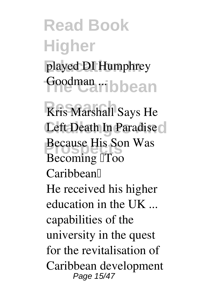# **Read Book Higher** played DI Humphrey Goodman<sub>d</sub>ribbean

**Kris Marshall Says He** Left Death In Paradise<sup>d</sup> **Because His Son Was Becoming Too Caribbean'** He received his higher education in the UK ... capabilities of the university in the quest for the revitalisation of Caribbean development Page 15/47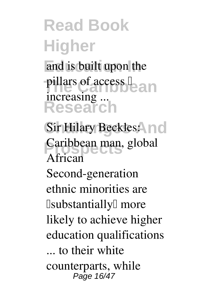# **Read Book Higher**

and is built upon the pillars of access **L**<br> **Research** increasing ...

Sir Hilary Beckles: **nd Caribbean man, global African** Second-generation ethnic minorities are  $\Box$ substantially $\Box$  more likely to achieve higher education qualifications ... to their white counterparts, while Page 16/47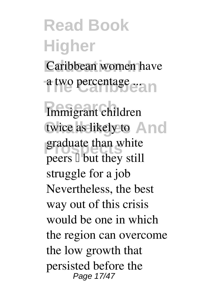# **Read Book Higher** Caribbean women have a two percentage ...

**Research Immigrant children** twice as likely to And graduate than white peers  $\Box$  but they still **struggle for a job** Nevertheless, the best way out of this crisis would be one in which the region can overcome the low growth that persisted before the Page 17/47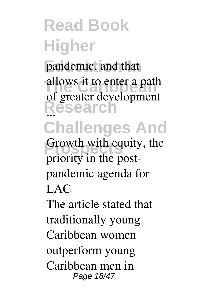### **Read Book Higher** pandemic, and that allows it to enter a path **Research** ... **Challenges And Growth with equity, the** of greater development **priority in the postpandemic agenda for LAC** The article stated that traditionally young

Caribbean women outperform young Caribbean men in Page 18/47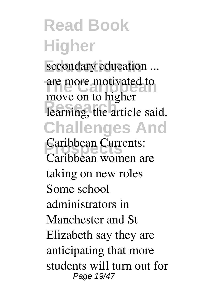**Read Book Higher** secondary education ... are more motivated to **Research** learning, the article said. **Challenges And Caribbean Currents:** move on to higher **Caribbean women are taking on new roles** Some school administrators in Manchester and St Elizabeth say they are anticipating that more students will turn out for Page 19/47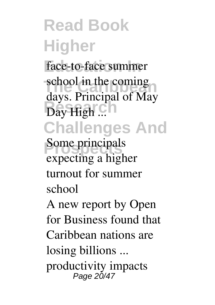**Read Book Higher** face-to-face summer **School in the coming Research**<br>
Day High ... **Challenges And Some principals** school in the coming days. Principal of May **expecting a higher turnout for summer school** A new report by Open for Business found that Caribbean nations are losing billions ...

productivity impacts Page 20/47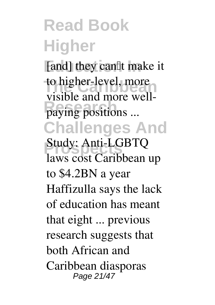#### **Read Book Higher** [and] they can<sup>[]</sup>t make it to higher-level, more **Paying positions ... Challenges And Prospects Study: Anti-LGBTQ** visible and more well**laws cost Caribbean up to \$4.2BN a year** Haffizulla says the lack of education has meant that eight ... previous research suggests that both African and Caribbean diasporas Page 21/47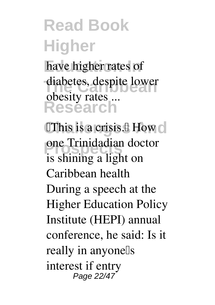# **Read Book Higher**

have higher rates of diabetes, despite lower **Research** obesity rates ...

**CThis is a crisis.** How  $\circ$ **Prospects one Trinidadian doctor is shining a light on Caribbean health** During a speech at the Higher Education Policy Institute (HEPI) annual conference, he said: Is it really in anyone<sup>[]</sup>s interest if entry Page 22/47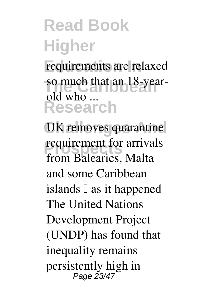# **Read Book Higher**

requirements are relaxed so much that an 18-year-**Research**  $old$  who  $-$ 

**UK removes quarantine requirement for arrivals from Balearics, Malta and some Caribbean** islands  $\mathbb{I}$  as it happened The United Nations Development Project (UNDP) has found that inequality remains persistently high in Page 23/47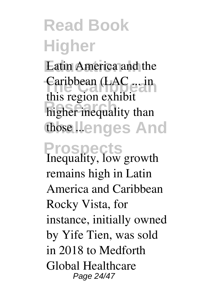### **Read Book Higher Latin America and the** Caribbean (LAC ... in higher inequality than those **Henges** And **Prospects** this region exhibit **Inequality, low growth remains high in Latin**

**America and Caribbean** Rocky Vista, for instance, initially owned by Yife Tien, was sold in 2018 to Medforth Global Healthcare Page 24/47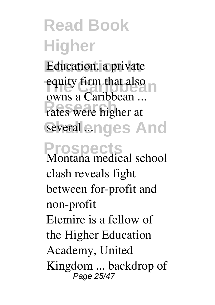**Read Book Higher** Education, a private equity firm that also **Research**<br>
rates were higher at several enges And **Prospects** owns a Caribbean ... **Montana medical school clash reveals fight between for-profit and non-profit** Etemire is a fellow of the Higher Education Academy, United Kingdom ... backdrop of Page 25/47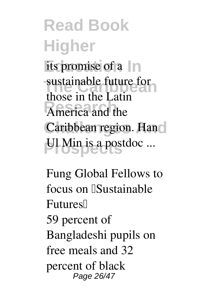**Read Book Higher** its promise of a  $\ln$ sustainable future for **Research** America and the Caribbean region. Hand **Property** Ul Min is a postdoc ... those in the Latin

**Fung Global Fellows to focus on [Sustainable Futures'** 59 percent of Bangladeshi pupils on free meals and 32 percent of black Page 26/47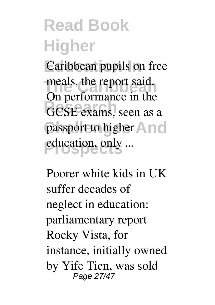### **Read Book Higher Caribbean pupils on free** meals, the report said. GCSE exams, seen as a passport to higher **And** education, only ... On performance in the

**Poorer white kids in UK suffer decades of neglect in education: parliamentary report** Rocky Vista, for instance, initially owned by Yife Tien, was sold Page 27/47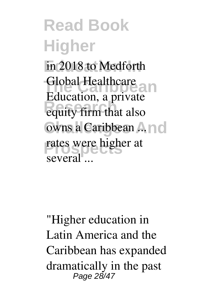**Read Book Higher** in 2018 to Medforth Global Healthcare **Research** equity firm that also owns a Caribbean ... rates were higher at Education, a private several ...

"Higher education in Latin America and the Caribbean has expanded dramatically in the past Page 28/47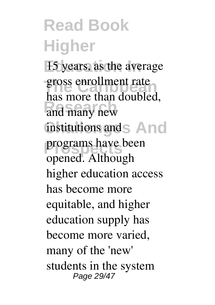**Read Book Higher** 15 years, as the average gross enrollment rate **Research** and many new institutions and S And programs have been has more than doubled, opened. Although higher education access has become more equitable, and higher education supply has become more varied, many of the 'new' students in the system Page 29/47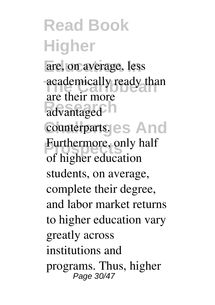**Read Book Higher** are, on average, less academically ready than advantaged counterparts. es And Furthermore, only half are their more of higher education students, on average, complete their degree, and labor market returns to higher education vary greatly across institutions and programs. Thus, higher Page 30/47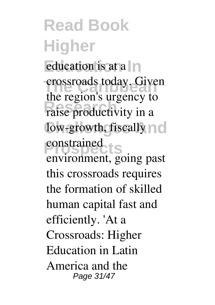**Read Book Higher** education is at a  $\ln$ crossroads today. Given **Research** raise productivity in a low-growth, fiscally  $\cap$  c constrained<br> **LS** the region's urgency to environment, going past this crossroads requires the formation of skilled human capital fast and efficiently. 'At a Crossroads: Higher Education in Latin America and the Page 31/47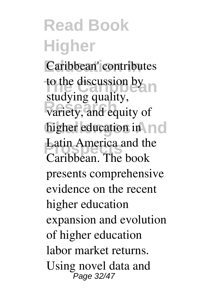**Read Book Higher** Caribbean' contributes to the discussion by variety, and equity of higher education in no Latin America and the studying quality, Caribbean. The book presents comprehensive evidence on the recent higher education expansion and evolution of higher education labor market returns. Using novel data and Page 32/47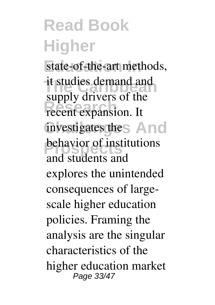#### **Read Book Higher** state-of-the-art methods, it studies demand and<br>
<u>it studies</u> demand and **Research** expansion. It investigates the **And Properties** supply drivers of the and students and explores the unintended consequences of largescale higher education policies. Framing the analysis are the singular characteristics of the higher education market Page 33/47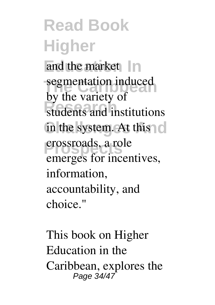**Read Book Higher** and the market In segmentation induced students and institutions in the system. At this **Prospects** crossroads, a role by the variety of emerges for incentives, information, accountability, and choice."

This book on Higher Education in the Caribbean, explores the Page 34/47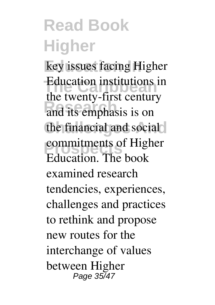# **Read Book Higher**

key issues facing Higher Education institutions in **Research** and its emphasis is on the financial and social **Property** Commitments of Higher the twenty-first century Education. The book examined research tendencies, experiences, challenges and practices to rethink and propose new routes for the interchange of values between Higher Page 35/47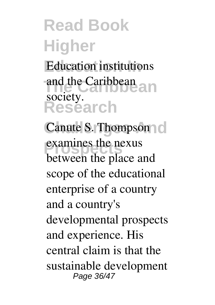# **Read Book Higher**

**Education institutions The Caribbean** and the Caribbean **Research** society.

Canute S. Thompson c examines the nexus between the place and scope of the educational enterprise of a country and a country's developmental prospects and experience. His central claim is that the sustainable development Page 36/47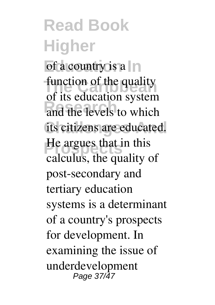**Read Book Higher** of a country is a  $\ln$ function of the quality and the levels to which its citizens are educated. **He argues that in this** of its education system calculus, the quality of post-secondary and tertiary education systems is a determinant of a country's prospects for development. In examining the issue of underdevelopment Page 37/47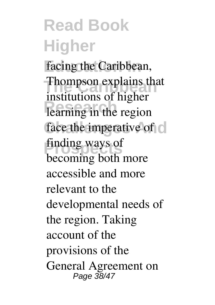**Read Book Higher** facing the Caribbean, **Thompson explains that RESEARCHEEF**<br> **Rearning** in the region face the imperative of  $\circ$ **finding ways of** institutions of higher becoming both more accessible and more relevant to the developmental needs of the region. Taking account of the provisions of the General Agreement on Page 38/47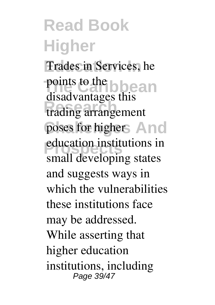**Read Book Higher** Trades in Services, he points to the b<sub>log</sub> and **Research** trading arrangement poses for higher And **Producation institutions in** disadvantages this small developing states and suggests ways in which the vulnerabilities these institutions face may be addressed. While asserting that higher education institutions, including Page 39/47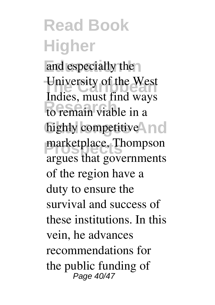### **Read Book Higher**

and especially the University of the West **Research** to remain viable in a highly competitive<sup>1</sup> marketplace, Thompson Indies, must find ways argues that governments of the region have a duty to ensure the survival and success of these institutions. In this vein, he advances recommendations for the public funding of Page 40/47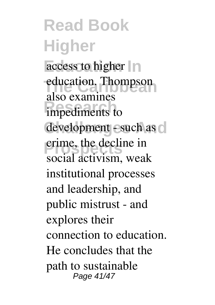**Read Book Higher** access to higher  $\ln$ education. Thompson impediments to development - such as  $\circ$ **Prospects** crime, the decline in also examines social activism, weak institutional processes and leadership, and public mistrust - and explores their connection to education. He concludes that the path to sustainable Page 41/47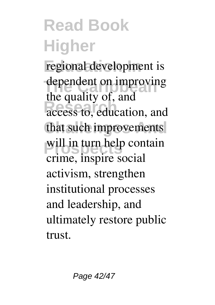# **Read Book Higher**

regional development is dependent on improving access to, education, and that such improvements will in turn help contain the quality of, and crime, inspire social activism, strengthen institutional processes and leadership, and ultimately restore public trust.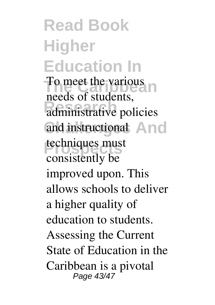**Read Book Higher Education In** To meet the various **Research** administrative policies and instructional And techniques must needs of students, consistently be improved upon. This allows schools to deliver a higher quality of education to students. Assessing the Current State of Education in the Caribbean is a pivotal Page 43/47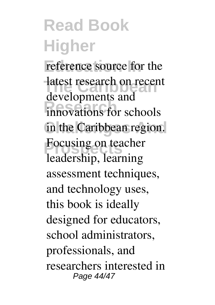#### **Read Book Higher** reference source for the latest research on recent **Research** innovations for schools in the Caribbean region. **Focusing on teacher** developments and leadership, learning assessment techniques, and technology uses, this book is ideally designed for educators, school administrators, professionals, and researchers interested in Page 44/47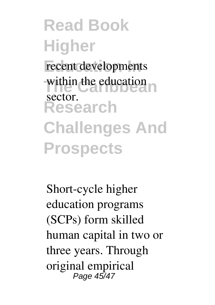**Read Book Higher** recent developments within the education **Research Challenges And Prospects** sector.

Short-cycle higher education programs (SCPs) form skilled human capital in two or three years. Through original empirical Page 45/47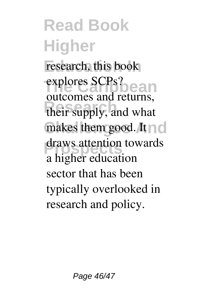**Read Book Higher** research, this book explores SCPs? their supply, and what makes them good. It draws attention towards outcomes and returns, a higher education sector that has been typically overlooked in research and policy.